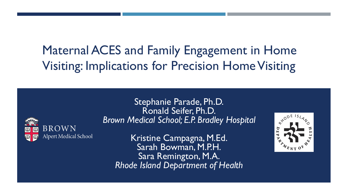# Maternal ACES and Family Engagement in Home Visiting: Implications for Precision Home Visiting



Stephanie Parade, Ph.D. Ronald Seifer, Ph.D. *Brown Medical School; E.P. Bradley Hospital*

Kristine Campagna, M.Ed. Sarah Bowman, M.P.H. Sara Remington, M.A. *Rhode Island Department of Health*

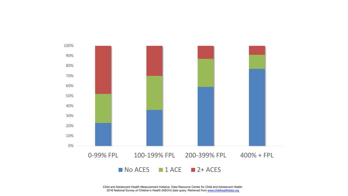

Child and Adolescent Health Measurement Initiative. Data Resource Center for Child and Adolescent Health. 2016 National Survey of Children's Health (NSCH) data query. Retrieved from [www.childhealthdata.org](http://www.childhealthdata.org/)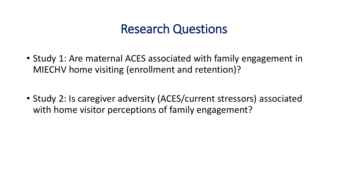## Research Questions

- Study 1: Are maternal ACES associated with family engagement in MIECHV home visiting (enrollment and retention)?
- Study 2: Is caregiver adversity (ACES/current stressors) associated with home visitor perceptions of family engagement?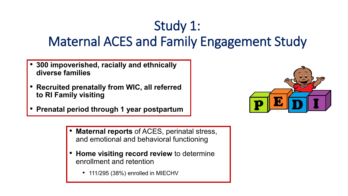# Study 1: Maternal ACES and Family Engagement Study

- **300 impoverished, racially and ethnically diverse families**
- **Recruited prenatally from WIC, all referred to RI Family visiting**
- **Prenatal period through 1 year postpartum**



- **Maternal reports** of ACES, perinatal stress, and emotional and behavioral functioning
- **Home visiting record review** to determine enrollment and retention
	- 111/295 (38%) enrolled in MIECHV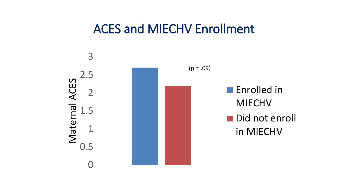### ACES and MIECHV Enrollment

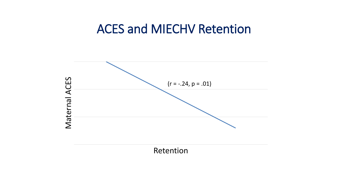### ACES and MIECHV Retention

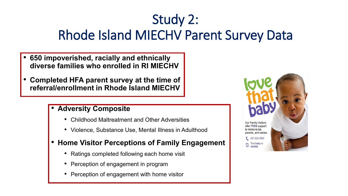# Study 2: Rhode Island MIECHV Parent Survey Data

- **650 impoverished, racially and ethnically diverse families who enrolled in RI MIECHV**
- **Completed HFA parent survey at the time of referral/enrollment in Rhode Island MIECHV**

#### • **Adversity Composite**

- Childhood Maltreatment and Other Adversities
- Violence, Substance Use, Mental Illness in Adulthood
- **Home Visitor Perceptions of Family Engagement**
	- Ratings completed following each home visit
	- Perception of engagement in program
	- Perception of engagement with home visitor

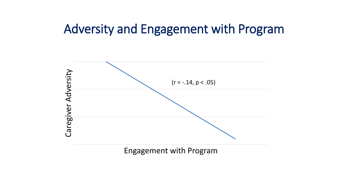### Adversity and Engagement with Program



Engagement with Program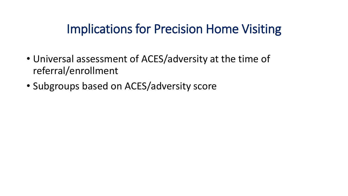## Implications for Precision Home Visiting

- Universal assessment of ACES/adversity at the time of referral/enrollment
- Subgroups based on ACES/adversity score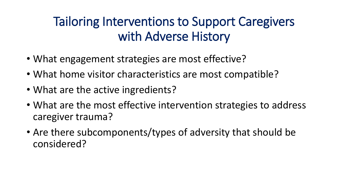## Tailoring Interventions to Support Caregivers with Adverse History

- What engagement strategies are most effective?
- What home visitor characteristics are most compatible?
- What are the active ingredients?
- What are the most effective intervention strategies to address caregiver trauma?
- Are there subcomponents/types of adversity that should be considered?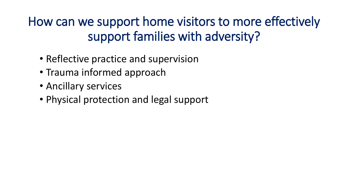How can we support home visitors to more effectively support families with adversity?

- Reflective practice and supervision
- Trauma informed approach
- Ancillary services
- Physical protection and legal support